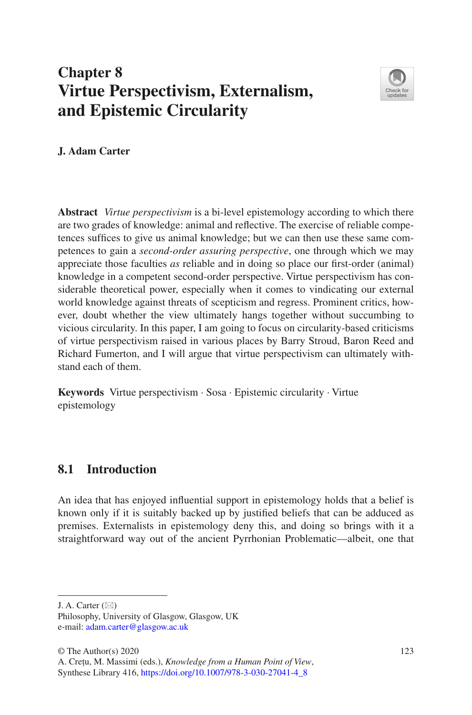# **Chapter 8 Virtue Perspectivism, Externalism, and Epistemic Circularity**



**J. Adam Carter**

**Abstract** *Virtue perspectivism* is a bi-level epistemology according to which there are two grades of knowledge: animal and reflective. The exercise of reliable competences suffices to give us animal knowledge; but we can then use these same competences to gain a *second-order assuring perspective*, one through which we may appreciate those faculties *as* reliable and in doing so place our first-order (animal) knowledge in a competent second-order perspective. Virtue perspectivism has considerable theoretical power, especially when it comes to vindicating our external world knowledge against threats of scepticism and regress. Prominent critics, however, doubt whether the view ultimately hangs together without succumbing to vicious circularity. In this paper, I am going to focus on circularity-based criticisms of virtue perspectivism raised in various places by Barry Stroud, Baron Reed and Richard Fumerton, and I will argue that virtue perspectivism can ultimately withstand each of them.

**Keywords** Virtue perspectivism · Sosa · Epistemic circularity · Virtue epistemology

## **8.1 Introduction**

An idea that has enjoyed influential support in epistemology holds that a belief is known only if it is suitably backed up by justified beliefs that can be adduced as premises. Externalists in epistemology deny this, and doing so brings with it a straightforward way out of the ancient Pyrrhonian Problematic—albeit, one that

 $\circ$  The Author(s) 2020 123 A. Crețu, M. Massimi (eds.), *Knowledge from a Human Point of View*, Synthese Library 416, [https://doi.org/10.1007/978-3-030-27041-4\\_8](https://doi.org/10.1007/978-3-030-27041-4_8)

J. A. Carter  $(\boxtimes)$ 

Philosophy, University of Glasgow, Glasgow, UK e-mail: [adam.carter@glasgow.ac.uk](mailto:adam.carter@glasgow.ac.uk)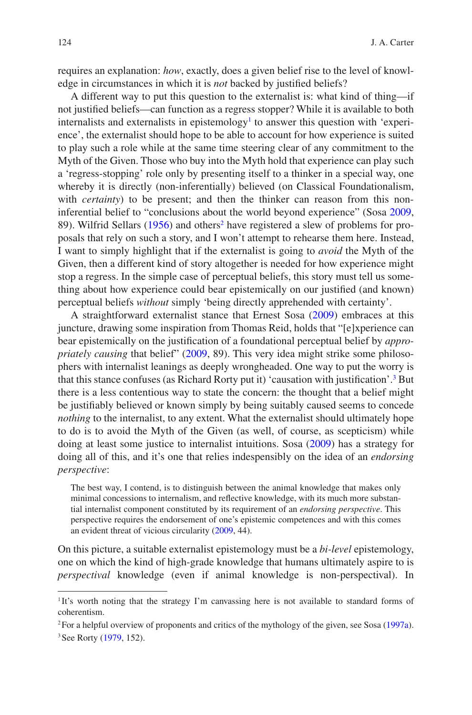requires an explanation: *how*, exactly, does a given belief rise to the level of knowledge in circumstances in which it is *not* backed by justified beliefs?

A different way to put this question to the externalist is: what kind of thing—if not justified beliefs—can function as a regress stopper? While it is available to both internalists and externalists in epistemology<sup>1</sup> to answer this question with 'experience', the externalist should hope to be able to account for how experience is suited to play such a role while at the same time steering clear of any commitment to the Myth of the Given. Those who buy into the Myth hold that experience can play such a 'regress-stopping' role only by presenting itself to a thinker in a special way, one whereby it is directly (non-inferentially) believed (on Classical Foundationalism, with *certainty*) to be present; and then the thinker can reason from this noninferential belief to "conclusions about the world beyond experience" (Sosa [2009](#page-17-0), 89). Wilfrid Sellars ([1956\)](#page-17-1) and others<sup>2</sup> have registered a slew of problems for proposals that rely on such a story, and I won't attempt to rehearse them here. Instead, I want to simply highlight that if the externalist is going to *avoid* the Myth of the Given, then a different kind of story altogether is needed for how experience might stop a regress. In the simple case of perceptual beliefs, this story must tell us something about how experience could bear epistemically on our justified (and known) perceptual beliefs *without* simply 'being directly apprehended with certainty'.

A straightforward externalist stance that Ernest Sosa [\(2009](#page-17-0)) embraces at this juncture, drawing some inspiration from Thomas Reid, holds that "[e]xperience can bear epistemically on the justification of a foundational perceptual belief by *appropriately causing* that belief" [\(2009](#page-17-0), 89). This very idea might strike some philosophers with internalist leanings as deeply wrongheaded. One way to put the worry is that this stance confuses (as Richard Rorty put it) 'causation with justification'.[3](#page-1-2) But there is a less contentious way to state the concern: the thought that a belief might be justifiably believed or known simply by being suitably caused seems to concede *nothing* to the internalist, to any extent. What the externalist should ultimately hope to do is to avoid the Myth of the Given (as well, of course, as scepticism) while doing at least some justice to internalist intuitions. Sosa [\(2009](#page-17-0)) has a strategy for doing all of this, and it's one that relies indespensibly on the idea of an *endorsing perspective*:

The best way, I contend, is to distinguish between the animal knowledge that makes only minimal concessions to internalism, and reflective knowledge, with its much more substantial internalist component constituted by its requirement of an *endorsing perspective*. This perspective requires the endorsement of one's epistemic competences and with this comes an evident threat of vicious circularity [\(2009](#page-17-0), 44).

On this picture, a suitable externalist epistemology must be a *bi-level* epistemology, one on which the kind of high-grade knowledge that humans ultimately aspire to is *perspectival* knowledge (even if animal knowledge is non-perspectival). In

<span id="page-1-0"></span><sup>&</sup>lt;sup>1</sup>It's worth noting that the strategy I'm canvassing here is not available to standard forms of coherentism.

<span id="page-1-2"></span><span id="page-1-1"></span><sup>2</sup>For a helpful overview of proponents and critics of the mythology of the given, see Sosa ([1997a\)](#page-17-2). <sup>3</sup> See Rorty [\(1979](#page-17-3), 152).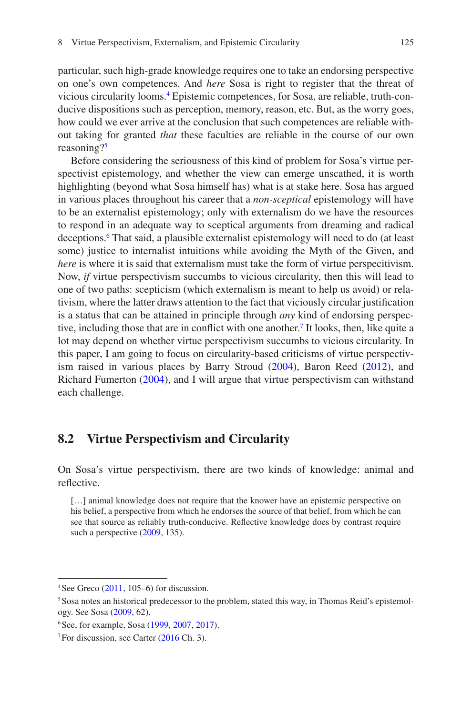particular, such high-grade knowledge requires one to take an endorsing perspective on one's own competences. And *here* Sosa is right to register that the threat of vicious circularity looms[.4](#page-2-0) Epistemic competences, for Sosa, are reliable, truth-conducive dispositions such as perception, memory, reason, etc. But, as the worry goes, how could we ever arrive at the conclusion that such competences are reliable without taking for granted *that* these faculties are reliable in the course of our own reasoning[?5](#page-2-1)

Before considering the seriousness of this kind of problem for Sosa's virtue perspectivist epistemology, and whether the view can emerge unscathed, it is worth highlighting (beyond what Sosa himself has) what is at stake here. Sosa has argued in various places throughout his career that a *non-sceptical* epistemology will have to be an externalist epistemology; only with externalism do we have the resources to respond in an adequate way to sceptical arguments from dreaming and radical deceptions[.6](#page-2-2) That said, a plausible externalist epistemology will need to do (at least some) justice to internalist intuitions while avoiding the Myth of the Given, and *here* is where it is said that externalism must take the form of virtue perspecitivism. Now, *if* virtue perspectivism succumbs to vicious circularity, then this will lead to one of two paths: scepticism (which externalism is meant to help us avoid) or relativism, where the latter draws attention to the fact that viciously circular justification is a status that can be attained in principle through *any* kind of endorsing perspec-tive, including those that are in conflict with one another.<sup>[7](#page-2-3)</sup> It looks, then, like quite a lot may depend on whether virtue perspectivism succumbs to vicious circularity. In this paper, I am going to focus on circularity-based criticisms of virtue perspectivism raised in various places by Barry Stroud [\(2004](#page-17-4)), Baron Reed ([2012\)](#page-17-5), and Richard Fumerton [\(2004](#page-16-0)), and I will argue that virtue perspectivism can withstand each challenge.

#### **8.2 Virtue Perspectivism and Circularity**

On Sosa's virtue perspectivism, there are two kinds of knowledge: animal and reflective.

[...] animal knowledge does not require that the knower have an epistemic perspective on his belief, a perspective from which he endorses the source of that belief, from which he can see that source as reliably truth-conducive. Reflective knowledge does by contrast require such a perspective  $(2009, 135)$  $(2009, 135)$  $(2009, 135)$ .

<span id="page-2-0"></span> $4$  See Greco ([2011,](#page-16-1) 105–6) for discussion.

<span id="page-2-1"></span><sup>&</sup>lt;sup>5</sup>Sosa notes an historical predecessor to the problem, stated this way, in Thomas Reid's epistemology. See Sosa ([2009,](#page-17-0) 62).

<span id="page-2-2"></span><sup>&</sup>lt;sup>6</sup> See, for example, Sosa ([1999,](#page-17-6) [2007](#page-17-7), [2017](#page-17-8)).

<span id="page-2-3"></span><sup>&</sup>lt;sup>7</sup>For discussion, see Carter [\(2016](#page-16-2) Ch. 3).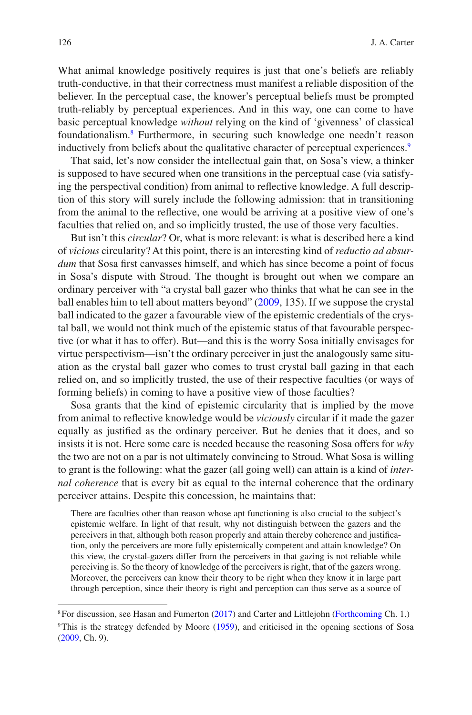What animal knowledge positively requires is just that one's beliefs are reliably truth-conductive, in that their correctness must manifest a reliable disposition of the believer. In the perceptual case, the knower's perceptual beliefs must be prompted truth-reliably by perceptual experiences. And in this way, one can come to have basic perceptual knowledge *without* relying on the kind of 'givenness' of classical foundationalism[.8](#page-3-0) Furthermore, in securing such knowledge one needn't reason inductively from beliefs about the qualitative character of perceptual experiences.<sup>9</sup>

That said, let's now consider the intellectual gain that, on Sosa's view, a thinker is supposed to have secured when one transitions in the perceptual case (via satisfying the perspectival condition) from animal to reflective knowledge. A full description of this story will surely include the following admission: that in transitioning from the animal to the reflective, one would be arriving at a positive view of one's faculties that relied on, and so implicitly trusted, the use of those very faculties.

But isn't this *circular*? Or, what is more relevant: is what is described here a kind of *vicious* circularity? At this point, there is an interesting kind of *reductio ad absurdum* that Sosa first canvasses himself, and which has since become a point of focus in Sosa's dispute with Stroud. The thought is brought out when we compare an ordinary perceiver with "a crystal ball gazer who thinks that what he can see in the ball enables him to tell about matters beyond" [\(2009](#page-17-0), 135). If we suppose the crystal ball indicated to the gazer a favourable view of the epistemic credentials of the crystal ball, we would not think much of the epistemic status of that favourable perspective (or what it has to offer). But—and this is the worry Sosa initially envisages for virtue perspectivism—isn't the ordinary perceiver in just the analogously same situation as the crystal ball gazer who comes to trust crystal ball gazing in that each relied on, and so implicitly trusted, the use of their respective faculties (or ways of forming beliefs) in coming to have a positive view of those faculties?

Sosa grants that the kind of epistemic circularity that is implied by the move from animal to reflective knowledge would be *viciously* circular if it made the gazer equally as justified as the ordinary perceiver. But he denies that it does, and so insists it is not. Here some care is needed because the reasoning Sosa offers for *why* the two are not on a par is not ultimately convincing to Stroud. What Sosa is willing to grant is the following: what the gazer (all going well) can attain is a kind of *internal coherence* that is every bit as equal to the internal coherence that the ordinary perceiver attains. Despite this concession, he maintains that:

There are faculties other than reason whose apt functioning is also crucial to the subject's epistemic welfare. In light of that result, why not distinguish between the gazers and the perceivers in that, although both reason properly and attain thereby coherence and justification, only the perceivers are more fully epistemically competent and attain knowledge? On this view, the crystal-gazers differ from the perceivers in that gazing is not reliable while perceiving is. So the theory of knowledge of the perceivers is right, that of the gazers wrong. Moreover, the perceivers can know their theory to be right when they know it in large part through perception, since their theory is right and perception can thus serve as a source of

<span id="page-3-1"></span><span id="page-3-0"></span><sup>8</sup>For discussion, see Hasan and Fumerton ([2017\)](#page-16-3) and Carter and Littlejohn [\(Forthcoming](#page-16-4) Ch. 1.) 9This is the strategy defended by Moore [\(1959](#page-17-9)), and criticised in the opening sections of Sosa ([2009,](#page-17-0) Ch. 9).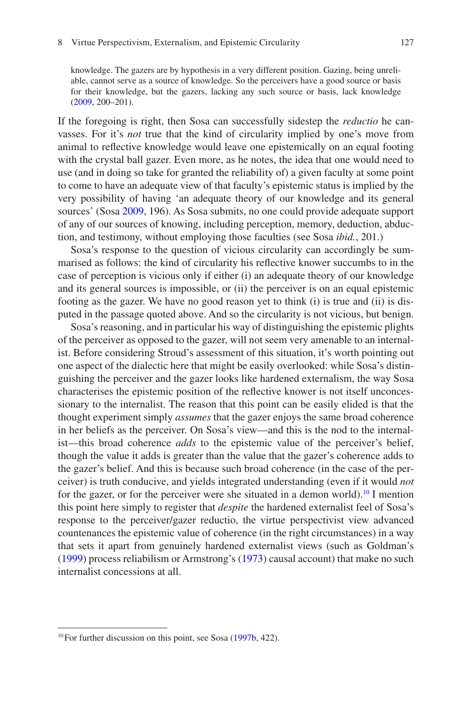knowledge. The gazers are by hypothesis in a very different position. Gazing, being unreliable, cannot serve as a source of knowledge. So the perceivers have a good source or basis for their knowledge, but the gazers, lacking any such source or basis, lack knowledge ([2009,](#page-17-0) 200–201).

If the foregoing is right, then Sosa can successfully sidestep the *reductio* he canvasses. For it's *not* true that the kind of circularity implied by one's move from animal to reflective knowledge would leave one epistemically on an equal footing with the crystal ball gazer. Even more, as he notes, the idea that one would need to use (and in doing so take for granted the reliability of) a given faculty at some point to come to have an adequate view of that faculty's epistemic status is implied by the very possibility of having 'an adequate theory of our knowledge and its general sources' (Sosa [2009,](#page-17-0) 196). As Sosa submits, no one could provide adequate support of any of our sources of knowing, including perception, memory, deduction, abduction, and testimony, without employing those faculties (see Sosa *ibid.*, 201.)

Sosa's response to the question of vicious circularity can accordingly be summarised as follows: the kind of circularity his reflective knower succumbs to in the case of perception is vicious only if either (i) an adequate theory of our knowledge and its general sources is impossible, or (ii) the perceiver is on an equal epistemic footing as the gazer. We have no good reason yet to think (i) is true and (ii) is disputed in the passage quoted above. And so the circularity is not vicious, but benign.

Sosa's reasoning, and in particular his way of distinguishing the epistemic plights of the perceiver as opposed to the gazer, will not seem very amenable to an internalist. Before considering Stroud's assessment of this situation, it's worth pointing out one aspect of the dialectic here that might be easily overlooked: while Sosa's distinguishing the perceiver and the gazer looks like hardened externalism, the way Sosa characterises the epistemic position of the reflective knower is not itself unconcessionary to the internalist. The reason that this point can be easily elided is that the thought experiment simply *assumes* that the gazer enjoys the same broad coherence in her beliefs as the perceiver. On Sosa's view—and this is the nod to the internalist—this broad coherence *adds* to the epistemic value of the perceiver's belief, though the value it adds is greater than the value that the gazer's coherence adds to the gazer's belief. And this is because such broad coherence (in the case of the perceiver) is truth conducive, and yields integrated understanding (even if it would *not* for the gazer, or for the perceiver were she situated in a demon world).<sup>10</sup> I mention this point here simply to register that *despite* the hardened externalist feel of Sosa's response to the perceiver/gazer reductio, the virtue perspectivist view advanced countenances the epistemic value of coherence (in the right circumstances) in a way that sets it apart from genuinely hardened externalist views (such as Goldman's [\(1999](#page-16-5)) process reliabilism or Armstrong's [\(1973](#page-16-6)) causal account) that make no such internalist concessions at all.

<span id="page-4-0"></span><sup>&</sup>lt;sup>10</sup>For further discussion on this point, see Sosa [\(1997b,](#page-17-10) 422).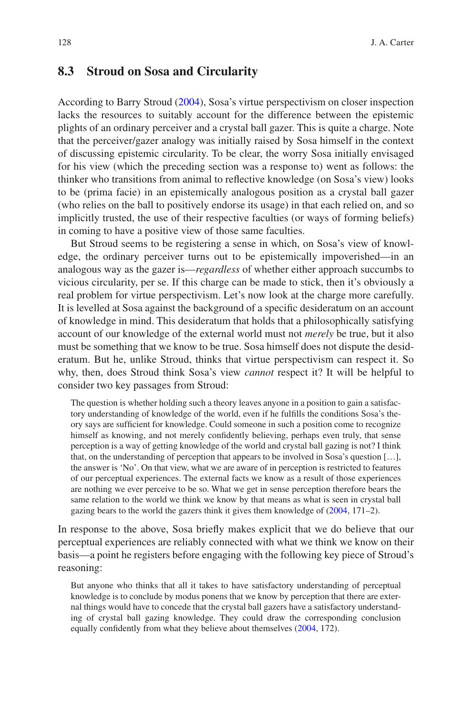### **8.3 Stroud on Sosa and Circularity**

According to Barry Stroud [\(2004](#page-17-4)), Sosa's virtue perspectivism on closer inspection lacks the resources to suitably account for the difference between the epistemic plights of an ordinary perceiver and a crystal ball gazer. This is quite a charge. Note that the perceiver/gazer analogy was initially raised by Sosa himself in the context of discussing epistemic circularity. To be clear, the worry Sosa initially envisaged for his view (which the preceding section was a response to) went as follows: the thinker who transitions from animal to reflective knowledge (on Sosa's view) looks to be (prima facie) in an epistemically analogous position as a crystal ball gazer (who relies on the ball to positively endorse its usage) in that each relied on, and so implicitly trusted, the use of their respective faculties (or ways of forming beliefs) in coming to have a positive view of those same faculties.

But Stroud seems to be registering a sense in which, on Sosa's view of knowledge, the ordinary perceiver turns out to be epistemically impoverished—in an analogous way as the gazer is—*regardless* of whether either approach succumbs to vicious circularity, per se. If this charge can be made to stick, then it's obviously a real problem for virtue perspectivism. Let's now look at the charge more carefully. It is levelled at Sosa against the background of a specific desideratum on an account of knowledge in mind. This desideratum that holds that a philosophically satisfying account of our knowledge of the external world must not *merely* be true, but it also must be something that we know to be true. Sosa himself does not dispute the desideratum. But he, unlike Stroud, thinks that virtue perspectivism can respect it. So why, then, does Stroud think Sosa's view *cannot* respect it? It will be helpful to consider two key passages from Stroud:

The question is whether holding such a theory leaves anyone in a position to gain a satisfactory understanding of knowledge of the world, even if he fulfills the conditions Sosa's theory says are sufficient for knowledge. Could someone in such a position come to recognize himself as knowing, and not merely confidently believing, perhaps even truly, that sense perception is a way of getting knowledge of the world and crystal ball gazing is not? I think that, on the understanding of perception that appears to be involved in Sosa's question […], the answer is 'No'. On that view, what we are aware of in perception is restricted to features of our perceptual experiences. The external facts we know as a result of those experiences are nothing we ever perceive to be so. What we get in sense perception therefore bears the same relation to the world we think we know by that means as what is seen in crystal ball gazing bears to the world the gazers think it gives them knowledge of ([2004,](#page-17-4) 171–2).

In response to the above, Sosa briefly makes explicit that we do believe that our perceptual experiences are reliably connected with what we think we know on their basis—a point he registers before engaging with the following key piece of Stroud's reasoning:

But anyone who thinks that all it takes to have satisfactory understanding of perceptual knowledge is to conclude by modus ponens that we know by perception that there are external things would have to concede that the crystal ball gazers have a satisfactory understanding of crystal ball gazing knowledge. They could draw the corresponding conclusion equally confidently from what they believe about themselves [\(2004](#page-17-4), 172).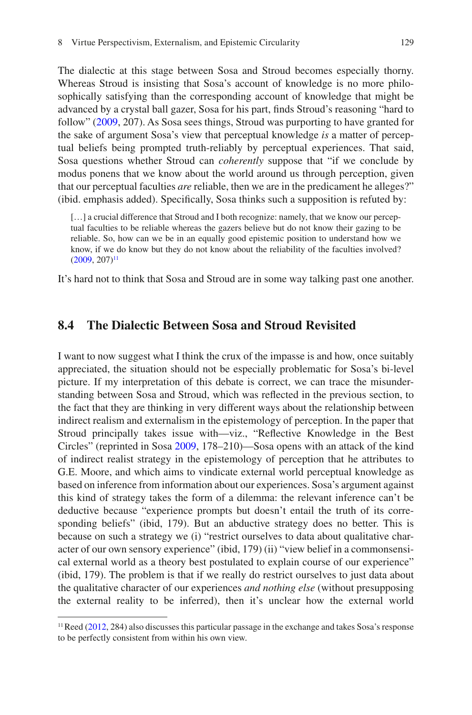The dialectic at this stage between Sosa and Stroud becomes especially thorny. Whereas Stroud is insisting that Sosa's account of knowledge is no more philosophically satisfying than the corresponding account of knowledge that might be advanced by a crystal ball gazer, Sosa for his part, finds Stroud's reasoning "hard to follow" ([2009,](#page-17-0) 207). As Sosa sees things, Stroud was purporting to have granted for the sake of argument Sosa's view that perceptual knowledge *is* a matter of perceptual beliefs being prompted truth-reliably by perceptual experiences. That said, Sosa questions whether Stroud can *coherently* suppose that "if we conclude by modus ponens that we know about the world around us through perception, given that our perceptual faculties *are* reliable, then we are in the predicament he alleges?" (ibid. emphasis added). Specifically, Sosa thinks such a supposition is refuted by:

[...] a crucial difference that Stroud and I both recognize: namely, that we know our perceptual faculties to be reliable whereas the gazers believe but do not know their gazing to be reliable. So, how can we be in an equally good epistemic position to understand how we know, if we do know but they do not know about the reliability of the faculties involved?  $(2009, 207)^{11}$  $(2009, 207)^{11}$  $(2009, 207)^{11}$  $(2009, 207)^{11}$  $(2009, 207)^{11}$ 

It's hard not to think that Sosa and Stroud are in some way talking past one another.

#### **8.4 The Dialectic Between Sosa and Stroud Revisited**

I want to now suggest what I think the crux of the impasse is and how, once suitably appreciated, the situation should not be especially problematic for Sosa's bi-level picture. If my interpretation of this debate is correct, we can trace the misunderstanding between Sosa and Stroud, which was reflected in the previous section, to the fact that they are thinking in very different ways about the relationship between indirect realism and externalism in the epistemology of perception. In the paper that Stroud principally takes issue with—viz., "Reflective Knowledge in the Best Circles" (reprinted in Sosa [2009,](#page-17-0) 178–210)—Sosa opens with an attack of the kind of indirect realist strategy in the epistemology of perception that he attributes to G.E. Moore, and which aims to vindicate external world perceptual knowledge as based on inference from information about our experiences. Sosa's argument against this kind of strategy takes the form of a dilemma: the relevant inference can't be deductive because "experience prompts but doesn't entail the truth of its corresponding beliefs" (ibid, 179). But an abductive strategy does no better. This is because on such a strategy we (i) "restrict ourselves to data about qualitative character of our own sensory experience" (ibid, 179) (ii) "view belief in a commonsensical external world as a theory best postulated to explain course of our experience" (ibid, 179). The problem is that if we really do restrict ourselves to just data about the qualitative character of our experiences *and nothing else* (without presupposing the external reality to be inferred), then it's unclear how the external world

<span id="page-6-0"></span> $11$  Reed [\(2012](#page-17-5), 284) also discusses this particular passage in the exchange and takes Sosa's response to be perfectly consistent from within his own view.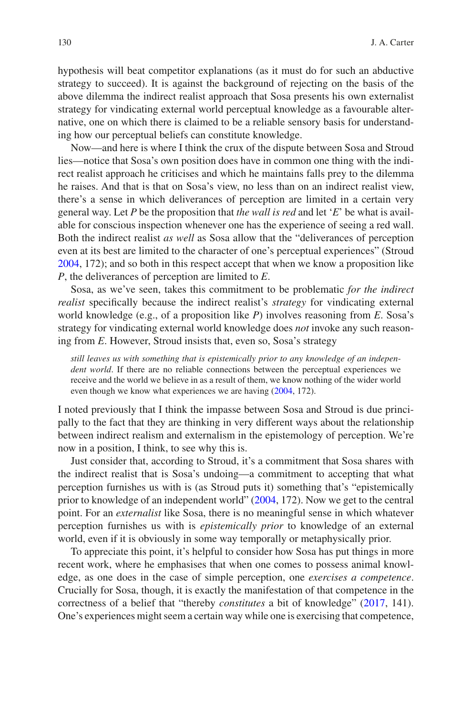hypothesis will beat competitor explanations (as it must do for such an abductive strategy to succeed). It is against the background of rejecting on the basis of the above dilemma the indirect realist approach that Sosa presents his own externalist strategy for vindicating external world perceptual knowledge as a favourable alternative, one on which there is claimed to be a reliable sensory basis for understanding how our perceptual beliefs can constitute knowledge.

Now—and here is where I think the crux of the dispute between Sosa and Stroud lies—notice that Sosa's own position does have in common one thing with the indirect realist approach he criticises and which he maintains falls prey to the dilemma he raises. And that is that on Sosa's view, no less than on an indirect realist view, there's a sense in which deliverances of perception are limited in a certain very general way. Let *P* be the proposition that *the wall is red* and let '*E*' be what is available for conscious inspection whenever one has the experience of seeing a red wall. Both the indirect realist *as well* as Sosa allow that the "deliverances of perception even at its best are limited to the character of one's perceptual experiences" (Stroud [2004,](#page-17-4) 172); and so both in this respect accept that when we know a proposition like *P*, the deliverances of perception are limited to *E*.

Sosa, as we've seen, takes this commitment to be problematic *for the indirect realist* specifically because the indirect realist's *strategy* for vindicating external world knowledge (e.g., of a proposition like *P*) involves reasoning from *E*. Sosa's strategy for vindicating external world knowledge does *not* invoke any such reasoning from *E*. However, Stroud insists that, even so, Sosa's strategy

*still leaves us with something that is epistemically prior to any knowledge of an independent world*. If there are no reliable connections between the perceptual experiences we receive and the world we believe in as a result of them, we know nothing of the wider world even though we know what experiences we are having [\(2004](#page-17-4), 172).

I noted previously that I think the impasse between Sosa and Stroud is due principally to the fact that they are thinking in very different ways about the relationship between indirect realism and externalism in the epistemology of perception. We're now in a position, I think, to see why this is.

Just consider that, according to Stroud, it's a commitment that Sosa shares with the indirect realist that is Sosa's undoing—a commitment to accepting that what perception furnishes us with is (as Stroud puts it) something that's "epistemically prior to knowledge of an independent world" [\(2004](#page-17-4), 172). Now we get to the central point. For an *externalist* like Sosa, there is no meaningful sense in which whatever perception furnishes us with is *epistemically prior* to knowledge of an external world, even if it is obviously in some way temporally or metaphysically prior.

To appreciate this point, it's helpful to consider how Sosa has put things in more recent work, where he emphasises that when one comes to possess animal knowledge, as one does in the case of simple perception, one *exercises a competence*. Crucially for Sosa, though, it is exactly the manifestation of that competence in the correctness of a belief that "thereby *constitutes* a bit of knowledge" ([2017,](#page-17-8) 141). One's experiences might seem a certain way while one is exercising that competence,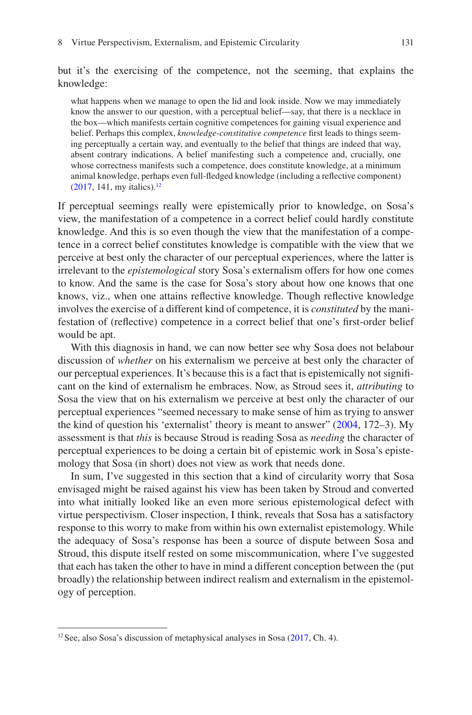but it's the exercising of the competence, not the seeming, that explains the knowledge:

what happens when we manage to open the lid and look inside. Now we may immediately know the answer to our question, with a perceptual belief—say, that there is a necklace in the box—which manifests certain cognitive competences for gaining visual experience and belief. Perhaps this complex, *knowledge-constitutive competence* first leads to things seeming perceptually a certain way, and eventually to the belief that things are indeed that way, absent contrary indications. A belief manifesting such a competence and, crucially, one whose correctness manifests such a competence, does constitute knowledge, at a minimum animal knowledge, perhaps even full-fledged knowledge (including a reflective component)  $(2017, 141, \text{my italics})$  $(2017, 141, \text{my italics})$  $(2017, 141, \text{my italics})$ .<sup>12</sup>

If perceptual seemings really were epistemically prior to knowledge, on Sosa's view, the manifestation of a competence in a correct belief could hardly constitute knowledge. And this is so even though the view that the manifestation of a competence in a correct belief constitutes knowledge is compatible with the view that we perceive at best only the character of our perceptual experiences, where the latter is irrelevant to the *epistemological* story Sosa's externalism offers for how one comes to know. And the same is the case for Sosa's story about how one knows that one knows, viz., when one attains reflective knowledge. Though reflective knowledge involves the exercise of a different kind of competence, it is *constituted* by the manifestation of (reflective) competence in a correct belief that one's first-order belief would be apt.

With this diagnosis in hand, we can now better see why Sosa does not belabour discussion of *whether* on his externalism we perceive at best only the character of our perceptual experiences. It's because this is a fact that is epistemically not significant on the kind of externalism he embraces. Now, as Stroud sees it, *attributing* to Sosa the view that on his externalism we perceive at best only the character of our perceptual experiences "seemed necessary to make sense of him as trying to answer the kind of question his 'externalist' theory is meant to answer" [\(2004](#page-17-4), 172–3). My assessment is that *this* is because Stroud is reading Sosa as *needing* the character of perceptual experiences to be doing a certain bit of epistemic work in Sosa's epistemology that Sosa (in short) does not view as work that needs done.

In sum, I've suggested in this section that a kind of circularity worry that Sosa envisaged might be raised against his view has been taken by Stroud and converted into what initially looked like an even more serious epistemological defect with virtue perspectivism. Closer inspection, I think, reveals that Sosa has a satisfactory response to this worry to make from within his own externalist epistemology. While the adequacy of Sosa's response has been a source of dispute between Sosa and Stroud, this dispute itself rested on some miscommunication, where I've suggested that each has taken the other to have in mind a different conception between the (put broadly) the relationship between indirect realism and externalism in the epistemology of perception.

<span id="page-8-0"></span><sup>&</sup>lt;sup>12</sup> See, also Sosa's discussion of metaphysical analyses in Sosa ([2017,](#page-17-8) Ch. 4).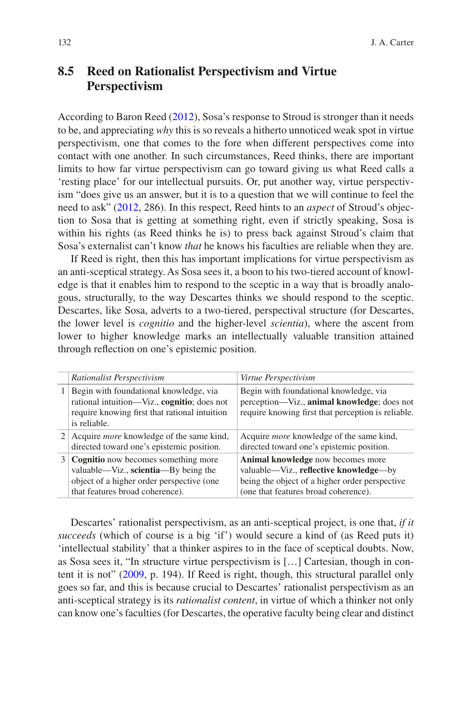## **8.5 Reed on Rationalist Perspectivism and Virtue Perspectivism**

According to Baron Reed ([2012\)](#page-17-5), Sosa's response to Stroud is stronger than it needs to be, and appreciating *why* this is so reveals a hitherto unnoticed weak spot in virtue perspectivism, one that comes to the fore when different perspectives come into contact with one another. In such circumstances, Reed thinks, there are important limits to how far virtue perspectivism can go toward giving us what Reed calls a 'resting place' for our intellectual pursuits. Or, put another way, virtue perspectivism "does give us an answer, but it is to a question that we will continue to feel the need to ask" [\(2012](#page-17-5), 286). In this respect, Reed hints to an *aspect* of Stroud's objection to Sosa that is getting at something right, even if strictly speaking, Sosa is within his rights (as Reed thinks he is) to press back against Stroud's claim that Sosa's externalist can't know *that* he knows his faculties are reliable when they are.

If Reed is right, then this has important implications for virtue perspectivism as an anti-sceptical strategy. As Sosa sees it, a boon to his two-tiered account of knowledge is that it enables him to respond to the sceptic in a way that is broadly analogous, structurally, to the way Descartes thinks we should respond to the sceptic. Descartes, like Sosa, adverts to a two-tiered, perspectival structure (for Descartes, the lower level is *cognitio* and the higher-level *scientia*), where the ascent from lower to higher knowledge marks an intellectually valuable transition attained through reflection on one's epistemic position.

| Rationalist Perspectivism                                                                                                                                          | Virtue Perspectivism                                                                                                                                                  |
|--------------------------------------------------------------------------------------------------------------------------------------------------------------------|-----------------------------------------------------------------------------------------------------------------------------------------------------------------------|
| Begin with foundational knowledge, via<br>rational intuition—Viz., cognitio; does not<br>require knowing first that rational intuition<br>is reliable.             | Begin with foundational knowledge, via<br>perception-Viz., animal knowledge; does not<br>require knowing first that perception is reliable.                           |
| Acquire <i>more</i> knowledge of the same kind,<br>directed toward one's epistemic position.                                                                       | Acquire <i>more</i> knowledge of the same kind,<br>directed toward one's epistemic position.                                                                          |
| <b>Cognitio</b> now becomes something more<br>valuable—Viz., scientia—By being the<br>object of a higher order perspective (one<br>that features broad coherence). | Animal knowledge now becomes more<br>valuable-Viz., reflective knowledge-by<br>being the object of a higher order perspective<br>(one that features broad coherence). |

Descartes' rationalist perspectivism, as an anti-sceptical project, is one that, *if it succeeds* (which of course is a big 'if') would secure a kind of (as Reed puts it) 'intellectual stability' that a thinker aspires to in the face of sceptical doubts. Now, as Sosa sees it, "In structure virtue perspectivism is […] Cartesian, though in content it is not" [\(2009](#page-17-0), p. 194). If Reed is right, though, this structural parallel only goes so far, and this is because crucial to Descartes' rationalist perspectivism as an anti-sceptical strategy is its *rationalist content*, in virtue of which a thinker not only can know one's faculties (for Descartes, the operative faculty being clear and distinct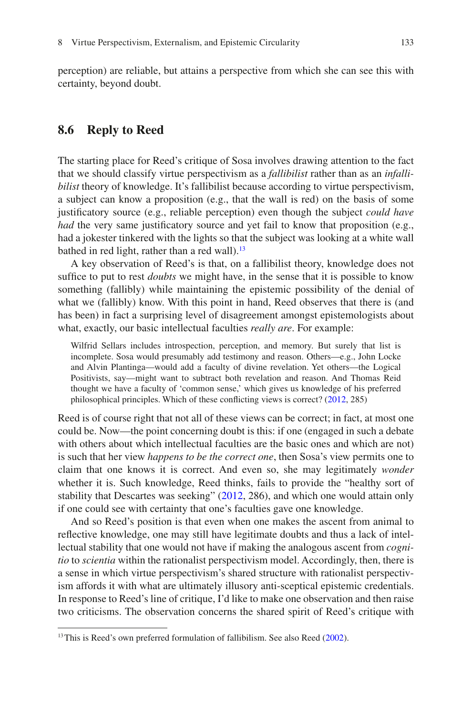perception) are reliable, but attains a perspective from which she can see this with certainty, beyond doubt.

#### **8.6 Reply to Reed**

The starting place for Reed's critique of Sosa involves drawing attention to the fact that we should classify virtue perspectivism as a *fallibilist* rather than as an *infallibilist* theory of knowledge. It's fallibilist because according to virtue perspectivism, a subject can know a proposition (e.g., that the wall is red) on the basis of some justificatory source (e.g., reliable perception) even though the subject *could have had* the very same justificatory source and yet fail to know that proposition (e.g., had a jokester tinkered with the lights so that the subject was looking at a white wall bathed in red light, rather than a red wall). $^{13}$  $^{13}$  $^{13}$ 

A key observation of Reed's is that, on a fallibilist theory, knowledge does not suffice to put to rest *doubts* we might have, in the sense that it is possible to know something (fallibly) while maintaining the epistemic possibility of the denial of what we (fallibly) know. With this point in hand, Reed observes that there is (and has been) in fact a surprising level of disagreement amongst epistemologists about what, exactly, our basic intellectual faculties *really are*. For example:

Wilfrid Sellars includes introspection, perception, and memory. But surely that list is incomplete. Sosa would presumably add testimony and reason. Others—e.g., John Locke and Alvin Plantinga—would add a faculty of divine revelation. Yet others—the Logical Positivists, say—might want to subtract both revelation and reason. And Thomas Reid thought we have a faculty of 'common sense,' which gives us knowledge of his preferred philosophical principles. Which of these conflicting views is correct? [\(2012](#page-17-5), 285)

Reed is of course right that not all of these views can be correct; in fact, at most one could be. Now—the point concerning doubt is this: if one (engaged in such a debate with others about which intellectual faculties are the basic ones and which are not) is such that her view *happens to be the correct one*, then Sosa's view permits one to claim that one knows it is correct. And even so, she may legitimately *wonder* whether it is. Such knowledge, Reed thinks, fails to provide the "healthy sort of stability that Descartes was seeking" [\(2012](#page-17-5), 286), and which one would attain only if one could see with certainty that one's faculties gave one knowledge.

And so Reed's position is that even when one makes the ascent from animal to reflective knowledge, one may still have legitimate doubts and thus a lack of intellectual stability that one would not have if making the analogous ascent from *cognitio* to *scientia* within the rationalist perspectivism model. Accordingly, then, there is a sense in which virtue perspectivism's shared structure with rationalist perspectivism affords it with what are ultimately illusory anti-sceptical epistemic credentials. In response to Reed's line of critique, I'd like to make one observation and then raise two criticisms. The observation concerns the shared spirit of Reed's critique with

<span id="page-10-0"></span><sup>&</sup>lt;sup>13</sup>This is Reed's own preferred formulation of fallibilism. See also Reed [\(2002](#page-17-11)).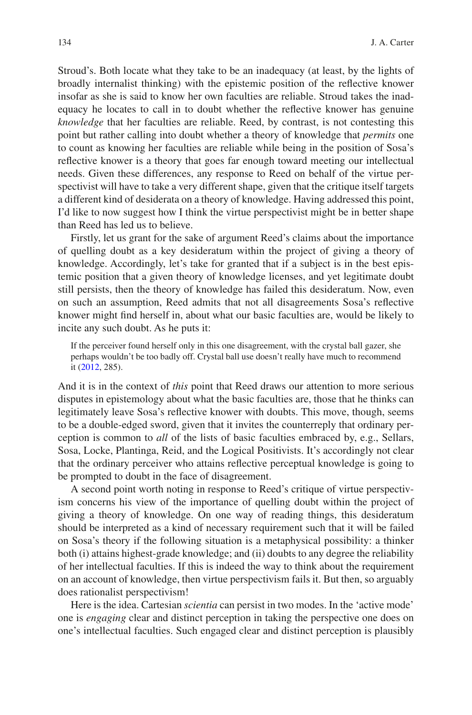Stroud's. Both locate what they take to be an inadequacy (at least, by the lights of broadly internalist thinking) with the epistemic position of the reflective knower insofar as she is said to know her own faculties are reliable. Stroud takes the inadequacy he locates to call in to doubt whether the reflective knower has genuine *knowledge* that her faculties are reliable. Reed, by contrast, is not contesting this point but rather calling into doubt whether a theory of knowledge that *permits* one to count as knowing her faculties are reliable while being in the position of Sosa's reflective knower is a theory that goes far enough toward meeting our intellectual needs. Given these differences, any response to Reed on behalf of the virtue perspectivist will have to take a very different shape, given that the critique itself targets a different kind of desiderata on a theory of knowledge. Having addressed this point, I'd like to now suggest how I think the virtue perspectivist might be in better shape than Reed has led us to believe.

Firstly, let us grant for the sake of argument Reed's claims about the importance of quelling doubt as a key desideratum within the project of giving a theory of knowledge. Accordingly, let's take for granted that if a subject is in the best epistemic position that a given theory of knowledge licenses, and yet legitimate doubt still persists, then the theory of knowledge has failed this desideratum. Now, even on such an assumption, Reed admits that not all disagreements Sosa's reflective knower might find herself in, about what our basic faculties are, would be likely to incite any such doubt. As he puts it:

If the perceiver found herself only in this one disagreement, with the crystal ball gazer, she perhaps wouldn't be too badly off. Crystal ball use doesn't really have much to recommend it ([2012,](#page-17-5) 285).

And it is in the context of *this* point that Reed draws our attention to more serious disputes in epistemology about what the basic faculties are, those that he thinks can legitimately leave Sosa's reflective knower with doubts. This move, though, seems to be a double-edged sword, given that it invites the counterreply that ordinary perception is common to *all* of the lists of basic faculties embraced by, e.g., Sellars, Sosa, Locke, Plantinga, Reid, and the Logical Positivists. It's accordingly not clear that the ordinary perceiver who attains reflective perceptual knowledge is going to be prompted to doubt in the face of disagreement.

A second point worth noting in response to Reed's critique of virtue perspectivism concerns his view of the importance of quelling doubt within the project of giving a theory of knowledge. On one way of reading things, this desideratum should be interpreted as a kind of necessary requirement such that it will be failed on Sosa's theory if the following situation is a metaphysical possibility: a thinker both (i) attains highest-grade knowledge; and (ii) doubts to any degree the reliability of her intellectual faculties. If this is indeed the way to think about the requirement on an account of knowledge, then virtue perspectivism fails it. But then, so arguably does rationalist perspectivism!

Here is the idea. Cartesian *scientia* can persist in two modes. In the 'active mode' one is *engaging* clear and distinct perception in taking the perspective one does on one's intellectual faculties. Such engaged clear and distinct perception is plausibly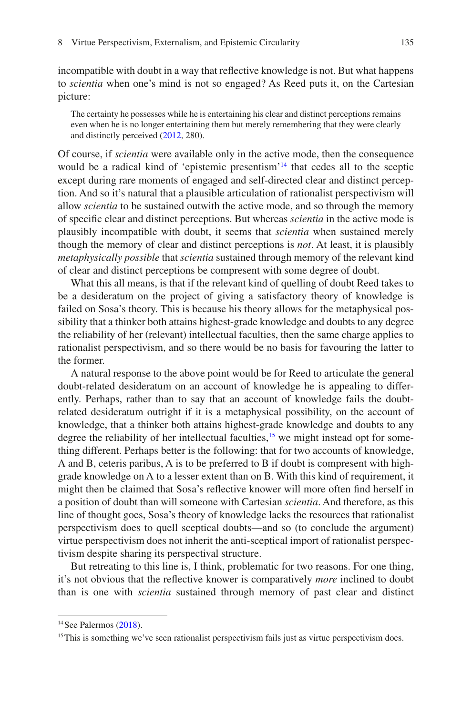incompatible with doubt in a way that reflective knowledge is not. But what happens to *scientia* when one's mind is not so engaged? As Reed puts it, on the Cartesian picture:

The certainty he possesses while he is entertaining his clear and distinct perceptions remains even when he is no longer entertaining them but merely remembering that they were clearly and distinctly perceived ([2012,](#page-17-5) 280).

Of course, if *scientia* were available only in the active mode, then the consequence would be a radical kind of 'epistemic presentism'<sup>14</sup> that cedes all to the sceptic except during rare moments of engaged and self-directed clear and distinct perception. And so it's natural that a plausible articulation of rationalist perspectivism will allow *scientia* to be sustained outwith the active mode, and so through the memory of specific clear and distinct perceptions. But whereas *scientia* in the active mode is plausibly incompatible with doubt, it seems that *scientia* when sustained merely though the memory of clear and distinct perceptions is *not*. At least, it is plausibly *metaphysically possible* that *scientia* sustained through memory of the relevant kind of clear and distinct perceptions be compresent with some degree of doubt.

What this all means, is that if the relevant kind of quelling of doubt Reed takes to be a desideratum on the project of giving a satisfactory theory of knowledge is failed on Sosa's theory. This is because his theory allows for the metaphysical possibility that a thinker both attains highest-grade knowledge and doubts to any degree the reliability of her (relevant) intellectual faculties, then the same charge applies to rationalist perspectivism, and so there would be no basis for favouring the latter to the former.

A natural response to the above point would be for Reed to articulate the general doubt-related desideratum on an account of knowledge he is appealing to differently. Perhaps, rather than to say that an account of knowledge fails the doubtrelated desideratum outright if it is a metaphysical possibility, on the account of knowledge, that a thinker both attains highest-grade knowledge and doubts to any degree the reliability of her intellectual faculties,<sup>15</sup> we might instead opt for something different. Perhaps better is the following: that for two accounts of knowledge, A and B, ceteris paribus, A is to be preferred to B if doubt is compresent with highgrade knowledge on A to a lesser extent than on B. With this kind of requirement, it might then be claimed that Sosa's reflective knower will more often find herself in a position of doubt than will someone with Cartesian *scientia*. And therefore, as this line of thought goes, Sosa's theory of knowledge lacks the resources that rationalist perspectivism does to quell sceptical doubts—and so (to conclude the argument) virtue perspectivism does not inherit the anti-sceptical import of rationalist perspectivism despite sharing its perspectival structure.

But retreating to this line is, I think, problematic for two reasons. For one thing, it's not obvious that the reflective knower is comparatively *more* inclined to doubt than is one with *scientia* sustained through memory of past clear and distinct

<span id="page-12-0"></span><sup>&</sup>lt;sup>14</sup> See Palermos ([2018\)](#page-17-12).

<span id="page-12-1"></span><sup>&</sup>lt;sup>15</sup>This is something we've seen rationalist perspectivism fails just as virtue perspectivism does.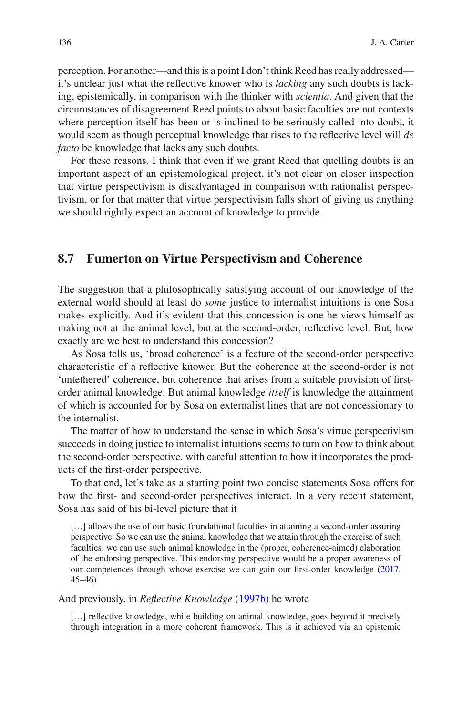perception. For another—and this is a point I don't think Reed has really addressed it's unclear just what the reflective knower who is *lacking* any such doubts is lacking, epistemically, in comparison with the thinker with *scientia*. And given that the circumstances of disagreement Reed points to about basic faculties are not contexts where perception itself has been or is inclined to be seriously called into doubt, it would seem as though perceptual knowledge that rises to the reflective level will *de facto* be knowledge that lacks any such doubts.

For these reasons, I think that even if we grant Reed that quelling doubts is an important aspect of an epistemological project, it's not clear on closer inspection that virtue perspectivism is disadvantaged in comparison with rationalist perspectivism, or for that matter that virtue perspectivism falls short of giving us anything we should rightly expect an account of knowledge to provide.

#### **8.7 Fumerton on Virtue Perspectivism and Coherence**

The suggestion that a philosophically satisfying account of our knowledge of the external world should at least do *some* justice to internalist intuitions is one Sosa makes explicitly. And it's evident that this concession is one he views himself as making not at the animal level, but at the second-order, reflective level. But, how exactly are we best to understand this concession?

As Sosa tells us, 'broad coherence' is a feature of the second-order perspective characteristic of a reflective knower. But the coherence at the second-order is not 'untethered' coherence, but coherence that arises from a suitable provision of firstorder animal knowledge. But animal knowledge *itself* is knowledge the attainment of which is accounted for by Sosa on externalist lines that are not concessionary to the internalist.

The matter of how to understand the sense in which Sosa's virtue perspectivism succeeds in doing justice to internalist intuitions seems to turn on how to think about the second-order perspective, with careful attention to how it incorporates the products of the first-order perspective.

To that end, let's take as a starting point two concise statements Sosa offers for how the first- and second-order perspectives interact. In a very recent statement, Sosa has said of his bi-level picture that it

[...] allows the use of our basic foundational faculties in attaining a second-order assuring perspective. So we can use the animal knowledge that we attain through the exercise of such faculties; we can use such animal knowledge in the (proper, coherence-aimed) elaboration of the endorsing perspective. This endorsing perspective would be a proper awareness of our competences through whose exercise we can gain our first-order knowledge [\(2017](#page-17-8), 45–46).

#### And previously, in *Reflective Knowledge* [\(1997b](#page-17-10)) he wrote

[...] reflective knowledge, while building on animal knowledge, goes beyond it precisely through integration in a more coherent framework. This is it achieved via an epistemic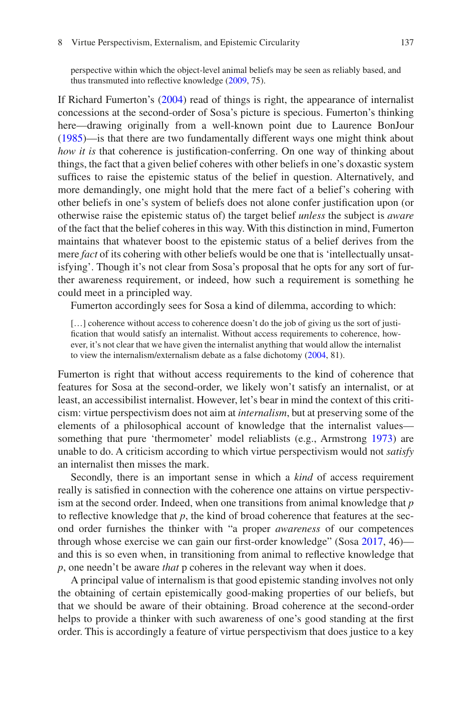perspective within which the object-level animal beliefs may be seen as reliably based, and thus transmuted into reflective knowledge ([2009,](#page-17-0) 75).

If Richard Fumerton's  $(2004)$  $(2004)$  read of things is right, the appearance of internalist concessions at the second-order of Sosa's picture is specious. Fumerton's thinking here—drawing originally from a well-known point due to Laurence BonJour [\(1985](#page-16-7))—is that there are two fundamentally different ways one might think about *how it is* that coherence is justification-conferring. On one way of thinking about things, the fact that a given belief coheres with other beliefs in one's doxastic system suffices to raise the epistemic status of the belief in question. Alternatively, and more demandingly, one might hold that the mere fact of a belief's cohering with other beliefs in one's system of beliefs does not alone confer justification upon (or otherwise raise the epistemic status of) the target belief *unless* the subject is *aware* of the fact that the belief coheres in this way. With this distinction in mind, Fumerton maintains that whatever boost to the epistemic status of a belief derives from the mere *fact* of its cohering with other beliefs would be one that is 'intellectually unsatisfying'. Though it's not clear from Sosa's proposal that he opts for any sort of further awareness requirement, or indeed, how such a requirement is something he could meet in a principled way.

Fumerton accordingly sees for Sosa a kind of dilemma, according to which:

[...] coherence without access to coherence doesn't do the job of giving us the sort of justification that would satisfy an internalist. Without access requirements to coherence, however, it's not clear that we have given the internalist anything that would allow the internalist to view the internalism/externalism debate as a false dichotomy ([2004,](#page-16-0) 81).

Fumerton is right that without access requirements to the kind of coherence that features for Sosa at the second-order, we likely won't satisfy an internalist, or at least, an accessibilist internalist. However, let's bear in mind the context of this criticism: virtue perspectivism does not aim at *internalism*, but at preserving some of the elements of a philosophical account of knowledge that the internalist values something that pure 'thermometer' model reliablists (e.g., Armstrong [1973\)](#page-16-6) are unable to do. A criticism according to which virtue perspectivism would not *satisfy* an internalist then misses the mark.

Secondly, there is an important sense in which a *kind* of access requirement really is satisfied in connection with the coherence one attains on virtue perspectivism at the second order. Indeed, when one transitions from animal knowledge that *p* to reflective knowledge that *p*, the kind of broad coherence that features at the second order furnishes the thinker with "a proper *awareness* of our competences through whose exercise we can gain our first-order knowledge" (Sosa [2017,](#page-17-8) 46) and this is so even when, in transitioning from animal to reflective knowledge that *p*, one needn't be aware *that* p coheres in the relevant way when it does.

A principal value of internalism is that good epistemic standing involves not only the obtaining of certain epistemically good-making properties of our beliefs, but that we should be aware of their obtaining. Broad coherence at the second-order helps to provide a thinker with such awareness of one's good standing at the first order. This is accordingly a feature of virtue perspectivism that does justice to a key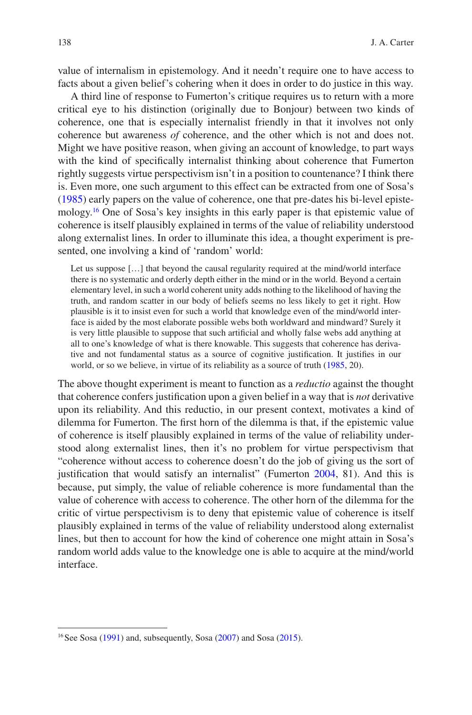value of internalism in epistemology. And it needn't require one to have access to facts about a given belief's cohering when it does in order to do justice in this way.

A third line of response to Fumerton's critique requires us to return with a more critical eye to his distinction (originally due to Bonjour) between two kinds of coherence, one that is especially internalist friendly in that it involves not only coherence but awareness *of* coherence, and the other which is not and does not. Might we have positive reason, when giving an account of knowledge, to part ways with the kind of specifically internalist thinking about coherence that Fumerton rightly suggests virtue perspectivism isn't in a position to countenance? I think there is. Even more, one such argument to this effect can be extracted from one of Sosa's [\(1985](#page-17-13)) early papers on the value of coherence, one that pre-dates his bi-level epistemology[.16](#page-15-0) One of Sosa's key insights in this early paper is that epistemic value of coherence is itself plausibly explained in terms of the value of reliability understood along externalist lines. In order to illuminate this idea, a thought experiment is presented, one involving a kind of 'random' world:

Let us suppose [...] that beyond the causal regularity required at the mind/world interface there is no systematic and orderly depth either in the mind or in the world. Beyond a certain elementary level, in such a world coherent unity adds nothing to the likelihood of having the truth, and random scatter in our body of beliefs seems no less likely to get it right. How plausible is it to insist even for such a world that knowledge even of the mind/world interface is aided by the most elaborate possible webs both worldward and mindward? Surely it is very little plausible to suppose that such artificial and wholly false webs add anything at all to one's knowledge of what is there knowable. This suggests that coherence has derivative and not fundamental status as a source of cognitive justification. It justifies in our world, or so we believe, in virtue of its reliability as a source of truth [\(1985](#page-17-13), 20).

The above thought experiment is meant to function as a *reductio* against the thought that coherence confers justification upon a given belief in a way that is *not* derivative upon its reliability. And this reductio, in our present context, motivates a kind of dilemma for Fumerton. The first horn of the dilemma is that, if the epistemic value of coherence is itself plausibly explained in terms of the value of reliability understood along externalist lines, then it's no problem for virtue perspectivism that "coherence without access to coherence doesn't do the job of giving us the sort of justification that would satisfy an internalist" (Fumerton [2004,](#page-16-0) 81). And this is because, put simply, the value of reliable coherence is more fundamental than the value of coherence with access to coherence. The other horn of the dilemma for the critic of virtue perspectivism is to deny that epistemic value of coherence is itself plausibly explained in terms of the value of reliability understood along externalist lines, but then to account for how the kind of coherence one might attain in Sosa's random world adds value to the knowledge one is able to acquire at the mind/world interface.

<span id="page-15-0"></span> $16$  See Sosa [\(1991](#page-17-14)) and, subsequently, Sosa [\(2007](#page-17-7)) and Sosa [\(2015](#page-17-15)).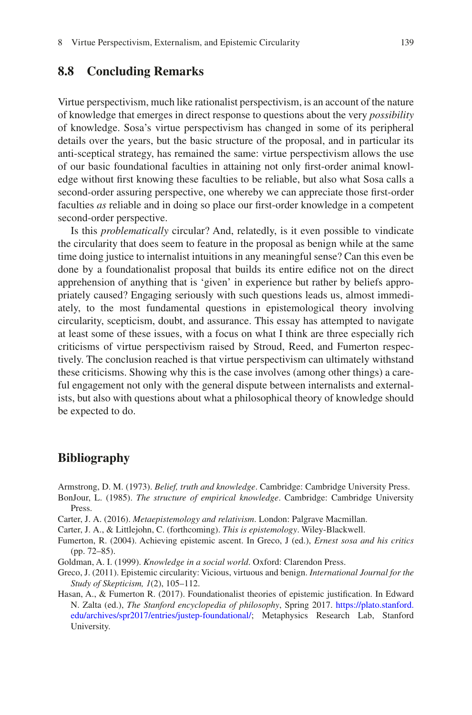#### **8.8 Concluding Remarks**

Virtue perspectivism, much like rationalist perspectivism, is an account of the nature of knowledge that emerges in direct response to questions about the very *possibility* of knowledge. Sosa's virtue perspectivism has changed in some of its peripheral details over the years, but the basic structure of the proposal, and in particular its anti-sceptical strategy, has remained the same: virtue perspectivism allows the use of our basic foundational faculties in attaining not only first-order animal knowledge without first knowing these faculties to be reliable, but also what Sosa calls a second-order assuring perspective, one whereby we can appreciate those first-order faculties *as* reliable and in doing so place our first-order knowledge in a competent second-order perspective.

Is this *problematically* circular? And, relatedly, is it even possible to vindicate the circularity that does seem to feature in the proposal as benign while at the same time doing justice to internalist intuitions in any meaningful sense? Can this even be done by a foundationalist proposal that builds its entire edifice not on the direct apprehension of anything that is 'given' in experience but rather by beliefs appropriately caused? Engaging seriously with such questions leads us, almost immediately, to the most fundamental questions in epistemological theory involving circularity, scepticism, doubt, and assurance. This essay has attempted to navigate at least some of these issues, with a focus on what I think are three especially rich criticisms of virtue perspectivism raised by Stroud, Reed, and Fumerton respectively. The conclusion reached is that virtue perspectivism can ultimately withstand these criticisms. Showing why this is the case involves (among other things) a careful engagement not only with the general dispute between internalists and externalists, but also with questions about what a philosophical theory of knowledge should be expected to do.

#### **Bibliography**

<span id="page-16-6"></span>Armstrong, D. M. (1973). *Belief, truth and knowledge*. Cambridge: Cambridge University Press.

- <span id="page-16-7"></span>BonJour, L. (1985). *The structure of empirical knowledge*. Cambridge: Cambridge University Press.
- <span id="page-16-2"></span>Carter, J. A. (2016). *Metaepistemology and relativism*. London: Palgrave Macmillan.
- <span id="page-16-4"></span>Carter, J. A., & Littlejohn, C. (forthcoming). *This is epistemology*. Wiley-Blackwell.
- <span id="page-16-0"></span>Fumerton, R. (2004). Achieving epistemic ascent. In Greco, J (ed.), *Ernest sosa and his critics* (pp. 72–85).
- <span id="page-16-5"></span>Goldman, A. I. (1999). *Knowledge in a social world*. Oxford: Clarendon Press.
- <span id="page-16-1"></span>Greco, J. (2011). Epistemic circularity: Vicious, virtuous and benign. *International Journal for the Study of Skepticism, 1*(2), 105–112.
- <span id="page-16-3"></span>Hasan, A., & Fumerton R. (2017). Foundationalist theories of epistemic justification. In Edward N. Zalta (ed.), *The Stanford encyclopedia of philosophy*, Spring 2017. [https://plato.stanford.](https://plato.stanford.edu/archives/spr2017/entries/justep-foundational/) [edu/archives/spr2017/entries/justep-foundational/](https://plato.stanford.edu/archives/spr2017/entries/justep-foundational/); Metaphysics Research Lab, Stanford University.